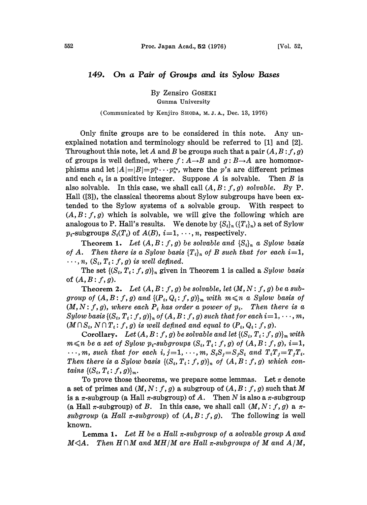## 149. On a Pair of Groups and its Sylow Bases

By Zensiro GOSEKI Gunma University

## (Communicated by Kenjiro SHODA, M. J. A., Dec. 13, 1976)

Only finite groups are to be considered in this note. Any unexplained notation and terminology should be referred to [1] and [2]. Throughout this note, let A and B be groups such that a pair  $(A, B: f, g)$ of groups is well defined, where  $f:A\rightarrow B$  and  $g:B\rightarrow A$  are homomorphisms and let  $|A|=|B|=p_1^{e_1}\cdots p_n^{e_n}$ , where the p's are different primes and each  $e_i$  is a positive integer. Suppose A is solvable. Then B is also solvable. In this case, we shall call  $(A, B: f, g)$  solvable. By P. Hall ([3]), the classical theorems about Sylow subgroups have been extended to the Sylow systems of a solvable group. With respect to  $(A, B: f, g)$  which is solvable, we will give the following which are analogous to P. Hall's results. We denote by  $\{S_i\}_n (\{T_i\}_n)$  a set of Sylow  $p_i$ -subgroups  $S_i(T_i)$  of  $A(B)$ ,  $i=1, \dots, n$ , respectively.

Theorem 1. Let  $(A, B: f, g)$  be solvable and  $\{S_i\}_i$  a Sylow basis of A. Then there is a Sylow basis  $\{T_i\}_n$  of B such that for each  $i=1$ ,  $\ldots$ , n,  $(S_i, T_i : f, g)$  is well defined.

The set  $\{(S_i, T_i : f, g)\}_n$  given in Theorem 1 is called a Sylow basis of  $(A, B: f, g)$ .

**Theorem 2.** Let  $(A, B: f, g)$  be solvable, let  $(M, N: f, g)$  be a subgroup of  $(A, B: f, g)$  and  $\{ (P_i, Q_i: f, g) \}_m$  with  $m \leq n$  a Sylow basis of  $(M, N: f, g)$ , where each  $P_i$  has order a power of  $p_i$ . Then there is a Sylow basis  $\{ (S_i, T_i : f, g) \}_n$  of  $(A, B : f, g)$  such that for each  $i = 1, \dots, m$ ,  $(M \cap S_i, N \cap T_i : f, g)$  is well defined and equal to  $(P_i, Q_i : f, g)$ .

Corollary. Let  $(A, B: f, g)$  be solvable and let  $\{ (S_i, T_i: f, g) \}_m$  with  $m \leq n$  be a set of Sylow  $p_i$ -subgroups  $(S_i, T_i: f, g)$  of  $(A, B: f, g)$ ,  $i=1$ ,  $\ldots$ , m, such that for each i, j=1,  $\ldots$ , m,  $S_iS_j=S_jS_i$  and  $T_iT_j=T_jT_i$ . Then there is a Sylow basis  $\{ (S_i, T_i : f, g) \}_n$  of  $(A, B : f, g)$  which con*tains*  $\{ (S_i, T_i : f, g) \}_m$ .

To prove those theorems, we prepare some lemmas. Let  $\pi$  denote a set of primes and  $(M, N; f, g)$  a subgroup of  $(A, B; f, g)$  such that M is a  $\pi$ -subgroup (a Hall  $\pi$ -subgroup) of A. Then N is also a  $\pi$ -subgroup (a Hall  $\pi$ -subgroup) of B. In this case, we shall call  $(M, N: f, g)$  a  $\pi$ known. subgroup (a Hall  $\pi$ -subgroup) of  $(A, B: f, g)$ . The following is well<br>Incurre

**Lemma 1.** Let H be a Hall  $\pi$ -subgroup of a solvable group A and  $M \triangleleft A$ . Then  $H \cap M$  and  $MH/M$  are Hall  $\pi$ -subgroups of M and  $A/M$ ,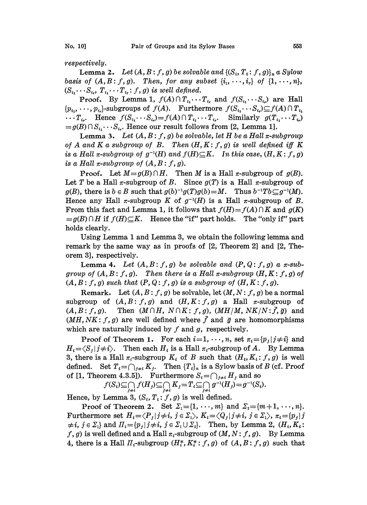respectively.

**Lemma 2.** Let  $(A, B: f, g)$  be solvable and  $\{(S_i, T_i: f, g)\}_n$  a Sylow basis of  $(A, B: f, g)$ . Then, for any subset  $\{i_1, \dots, i_r\}$  of  $\{1, \dots, n\}$ ,  $(S_{i_1}\cdots S_{i_r}, T_{i_1}\cdots T_{i_r}; f, g)$  is well defined.

**Proof.** By Lemma 1,  $f(A) \cap T_{i_1} \cdots T_{i_r}$  and  $f(S_{i_1} \cdots S_{i_r})$  are Hall  ${p_{i_1}, \dots, p_{i_r}}$ -subgroups of  $f(A)$ . Furthermore  $f(S_{i_1}, \dots, S_{i_r}) \subseteq f(A) \cap T_{i_1}$  $\cdots T_{i_r}$ . Hence  $f(S_{i_1}\cdots S_{i_r})=f(A)\cap T_{i_1}\cdots T_{i_r}$ . Similarly  $g(T_{i_1}\cdots T_{i_r})$  $=g(B) \cap S_{i_1} \cdots S_{i_r}$ . Hence our result follows from [2, Lemma 1].

**Lemma 3.** Let  $(A, B: f, g)$  be solvable, let H be a Hall  $\pi$ -subgroup of A and K a subgroup of B. Then  $(H, K: f, g)$  is well defined iff K is a Hall  $\pi$ -subgroup of  $g^{-1}(H)$  and  $f(H) \subseteq K$ . In this case,  $(H, K: f, g)$ is a Hall  $\pi$ -subgroup of  $(A, B: f, g)$ .

**Proof.** Let  $M = g(B) \cap H$ . Then M is a Hall  $\pi$ -subgroup of  $g(B)$ . Let T be a Hall  $\pi$ -subgroup of B. Since  $g(T)$  is a Hall  $\pi$ -subgroup of  $g(B)$ , there is  $b \in B$  such that  $g(b)^{-1}g(T)g(b)=M$ . Thus  $b^{-1}Tb \subseteq g^{-1}(M)$ . Hence any Hall  $\pi$ -subgroup K of  $g^{-1}(H)$  is a Hall  $\pi$ -subgroup of B. From this fact and Lemma 1, it follows that  $f(H)=f(A)\cap K$  and  $g(K)$  $=g(B) \cap H$  if  $f(H) \subseteq K$ . Hence the "if" part holds. The "only if" part holds clearly.

Using Lemma <sup>1</sup> and Lemma 3, we obtain the following lemma and remark by the same way as in proofs of [2, Theorem 2] and [2, Theorem 3], respectively.

Lemma 4. Let  $(A, B: f, g)$  be solvable and  $(P, Q: f, g)$  a  $\pi$ -subgroup of  $(A, B: f, g)$ . Then there is a Hall  $\pi$ -subgroup  $(H, K: f, g)$  of  $(A, B: f, g)$  such that  $(P, Q: f, g)$  is a subgroup of  $(H, K: f, g)$ .

Remark. Let  $(A, B: f, g)$  be solvable, let  $(M, N: f, g)$  be a normal subgroup of  $(A, B: f, g)$  and  $(H, K: f, g)$  a Hall  $\pi$ -subgroup of  $(A, B: f, g)$ . Then  $(M \cap H, N \cap K: f, g)$ ,  $(MH/M, NK/N: \bar{f}, \bar{g})$  and  $(MH, NK; f, g)$  are well defined where  $\tilde{f}$  and  $\bar{g}$  are homomorphisms which are naturally induced by  $f$  and  $g$ , respectively.

Proof of Theorem 1. For each  $i=1,\dots, n$ , set  $\pi_i = \{p_i | j \neq i\}$  and  $H_i = \langle S_i | j \neq i \rangle$ . Then each  $H_i$  is a Hall  $\pi_i$ -subgroup of A. By Lemma 3, there is a Hall  $\pi_i$ -subgroup  $K_i$  of B such that  $(H_i, K_i : f, g)$  is well defined. Set  $T_i = \bigcap_{j \neq i} K_j$ . Then  $\{T_i\}_n$  is a Sylow basis of B (cf. Proof of [1, Theorem 4.3.5]). Furthermore  $S_i = \bigcap_{j \neq i} H_j$  and so  $f(S) \subset \bigcap f(H) \subset \bigcap K - T \subset \bigcap g^{-1}(H) - g^{-1}(S)$ 

of [1, Theorem 4.3.5]). Furthermore  $S_i = \bigcap_{j \neq i} H_j$  and so<br> $f(S_i) \subseteq \bigcap_{i \neq i} f(H_j) \subseteq \bigcap_{i \neq i} K_j = T_i \subseteq \bigcap_{i \neq i} g^{-1}(H_j) = g^{-1}(S_i)$ .

Hence, by Lemma 3,  $(S_i, T_i : f, g)$  is well defined.

Proof of Theorem 2. Set  $\Sigma_1 = \{1, \dots, m\}$  and  $\Sigma_2 = \{m+1, \dots, n\}.$ Furthermore set  $H_i = \langle P_j | j \neq i, j \in \Sigma_1 \rangle$ ,  $K_i = \langle Q_j | j \neq i, j \in \Sigma_1 \rangle$ ,  $\pi_i = \{p_j | j \neq j, j \in \Sigma_1\}$  $i \neq i, j \in \Sigma_1$  and  $\Pi_i = \{p_j | j \neq i, j \in \Sigma_1 \cup \Sigma_2\}$ . Then, by Lemma 2,  $(H_i, K_i)$ :  $f, g$ ) is well defined and a Hall  $\pi_i$ -subgroup of  $(M, N: f, g)$ . By Lemma 4, there is a Hall  $\Pi_i$ -subgroup  $(H_i^*, K_i^* : f, g)$  of  $(A, B: f, g)$  such that